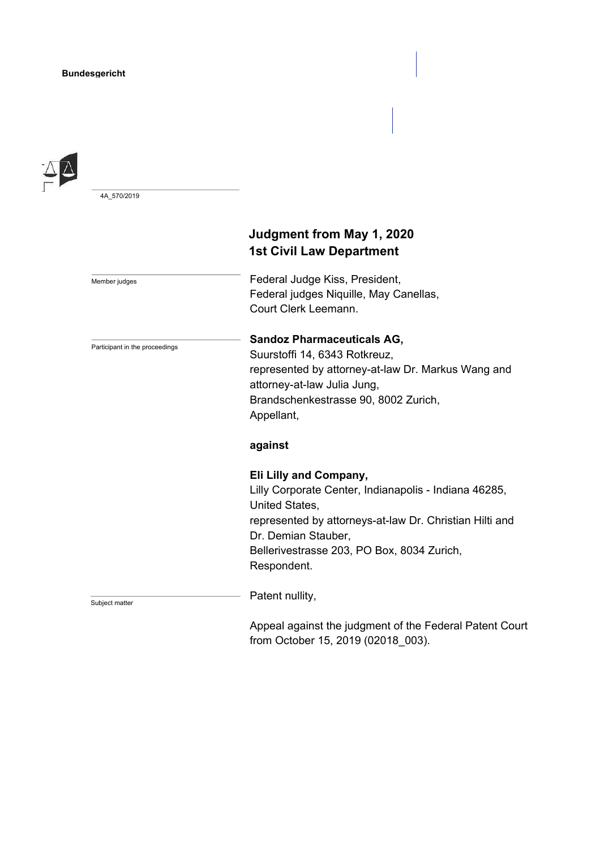

4A\_570/2019

Member judges

Participant in the proceedings

# **Judgment from May 1, 2020 1st Civil Law Department**

Federal Judge Kiss, President, Federal judges Niquille, May Canellas, Court Clerk Leemann.

## **Sandoz Pharmaceuticals AG,**

Suurstoffi 14, 6343 Rotkreuz, represented by attorney-at-law Dr. Markus Wang and attorney-at-law Julia Jung, Brandschenkestrasse 90, 8002 Zurich, Appellant,

## **against**

## **Eli Lilly and Company,**

Lilly Corporate Center, Indianapolis - Indiana 46285, United States, represented by attorneys-at-law Dr. Christian Hilti and Dr. Demian Stauber, Bellerivestrasse 203, PO Box, 8034 Zurich, Respondent.

Subject matter

Patent nullity,

Appeal against the judgment of the Federal Patent Court from October 15, 2019 (02018\_003).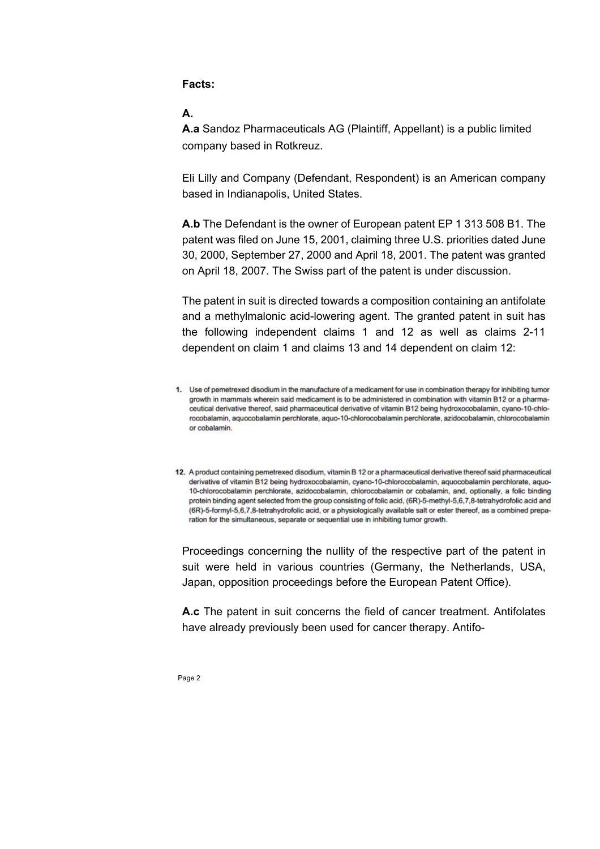**Facts:** 

## **A.**

**A.a** Sandoz Pharmaceuticals AG (Plaintiff, Appellant) is a public limited company based in Rotkreuz.

Eli Lilly and Company (Defendant, Respondent) is an American company based in Indianapolis, United States.

**A.b** The Defendant is the owner of European patent EP 1 313 508 B1. The patent was filed on June 15, 2001, claiming three U.S. priorities dated June 30, 2000, September 27, 2000 and April 18, 2001. The patent was granted on April 18, 2007. The Swiss part of the patent is under discussion.

The patent in suit is directed towards a composition containing an antifolate and a methylmalonic acid-lowering agent. The granted patent in suit has the following independent claims 1 and 12 as well as claims 2-11 dependent on claim 1 and claims 13 and 14 dependent on claim 12:

Proceedings concerning the nullity of the respective part of the patent in suit were held in various countries (Germany, the Netherlands, USA, Japan, opposition proceedings before the European Patent Office).

**A.c** The patent in suit concerns the field of cancer treatment. Antifolates have already previously been used for cancer therapy. Antifo-

<sup>1.</sup> Use of pemetrexed disodium in the manufacture of a medicament for use in combination therapy for inhibiting tumor growth in mammals wherein said medicament is to be administered in combination with vitamin B12 or a pharmaceutical derivative thereof, said pharmaceutical derivative of vitamin B12 being hydroxocobalamin, cyano-10-chlorocobalamin, aquocobalamin perchlorate, aquo-10-chlorocobalamin perchlorate, azidocobalamin, chlorocobalamin or cobalamin.

<sup>12.</sup> A product containing pemetrexed disodium, vitamin B 12 or a pharmaceutical derivative thereof said pharmaceutical derivative of vitamin B12 being hydroxocobalamin, cyano-10-chlorocobalamin, aquocobalamin perchlorate, aquo-10-chlorocobalamin perchlorate, azidocobalamin, chlorocobalamin or cobalamin, and, optionally, a folic binding protein binding agent selected from the group consisting of folic acid, (6R)-5-methyl-5,6,7,8-tetrahydrofolic acid and (6R)-5-formyl-5,6,7,8-tetrahydrofolic acid, or a physiologically available salt or ester thereof, as a combined preparation for the simultaneous, separate or sequential use in inhibiting tumor growth.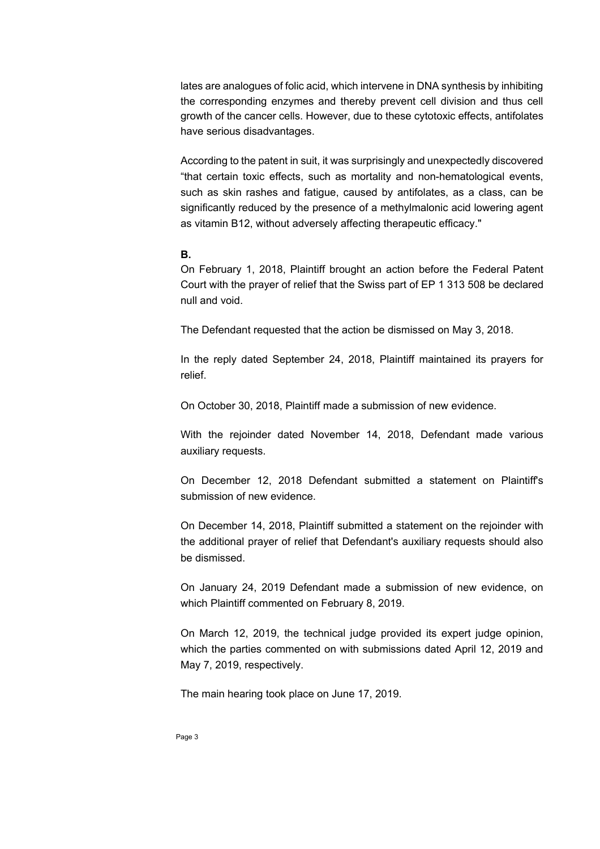lates are analogues of folic acid, which intervene in DNA synthesis by inhibiting the corresponding enzymes and thereby prevent cell division and thus cell growth of the cancer cells. However, due to these cytotoxic effects, antifolates have serious disadvantages.

According to the patent in suit, it was surprisingly and unexpectedly discovered "that certain toxic effects, such as mortality and non-hematological events, such as skin rashes and fatigue, caused by antifolates, as a class, can be significantly reduced by the presence of a methylmalonic acid lowering agent as vitamin B12, without adversely affecting therapeutic efficacy."

#### **B.**

On February 1, 2018, Plaintiff brought an action before the Federal Patent Court with the prayer of relief that the Swiss part of EP 1 313 508 be declared null and void.

The Defendant requested that the action be dismissed on May 3, 2018.

In the reply dated September 24, 2018, Plaintiff maintained its prayers for relief.

On October 30, 2018, Plaintiff made a submission of new evidence.

With the rejoinder dated November 14, 2018, Defendant made various auxiliary requests.

On December 12, 2018 Defendant submitted a statement on Plaintiff's submission of new evidence.

On December 14, 2018, Plaintiff submitted a statement on the rejoinder with the additional prayer of relief that Defendant's auxiliary requests should also be dismissed.

On January 24, 2019 Defendant made a submission of new evidence, on which Plaintiff commented on February 8, 2019.

On March 12, 2019, the technical judge provided its expert judge opinion, which the parties commented on with submissions dated April 12, 2019 and May 7, 2019, respectively.

The main hearing took place on June 17, 2019.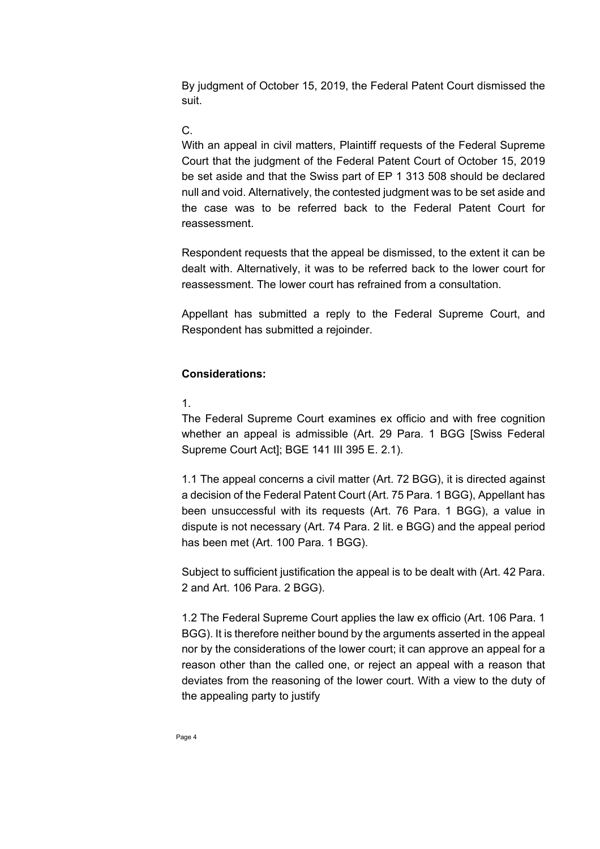By judgment of October 15, 2019, the Federal Patent Court dismissed the suit.

# C.

With an appeal in civil matters, Plaintiff requests of the Federal Supreme Court that the judgment of the Federal Patent Court of October 15, 2019 be set aside and that the Swiss part of EP 1 313 508 should be declared null and void. Alternatively, the contested judgment was to be set aside and the case was to be referred back to the Federal Patent Court for reassessment.

Respondent requests that the appeal be dismissed, to the extent it can be dealt with. Alternatively, it was to be referred back to the lower court for reassessment. The lower court has refrained from a consultation.

Appellant has submitted a reply to the Federal Supreme Court, and Respondent has submitted a rejoinder.

## **Considerations:**

1.

The Federal Supreme Court examines ex officio and with free cognition whether an appeal is admissible (Art. 29 Para. 1 BGG [Swiss Federal Supreme Court Act]; BGE 141 III 395 E. 2.1).

1.1 The appeal concerns a civil matter (Art. 72 BGG), it is directed against a decision of the Federal Patent Court (Art. 75 Para. 1 BGG), Appellant has been unsuccessful with its requests (Art. 76 Para. 1 BGG), a value in dispute is not necessary (Art. 74 Para. 2 lit. e BGG) and the appeal period has been met (Art. 100 Para. 1 BGG).

Subject to sufficient justification the appeal is to be dealt with (Art. 42 Para. 2 and Art. 106 Para. 2 BGG).

1.2 The Federal Supreme Court applies the law ex officio (Art. 106 Para. 1 BGG). It is therefore neither bound by the arguments asserted in the appeal nor by the considerations of the lower court; it can approve an appeal for a reason other than the called one, or reject an appeal with a reason that deviates from the reasoning of the lower court. With a view to the duty of the appealing party to justify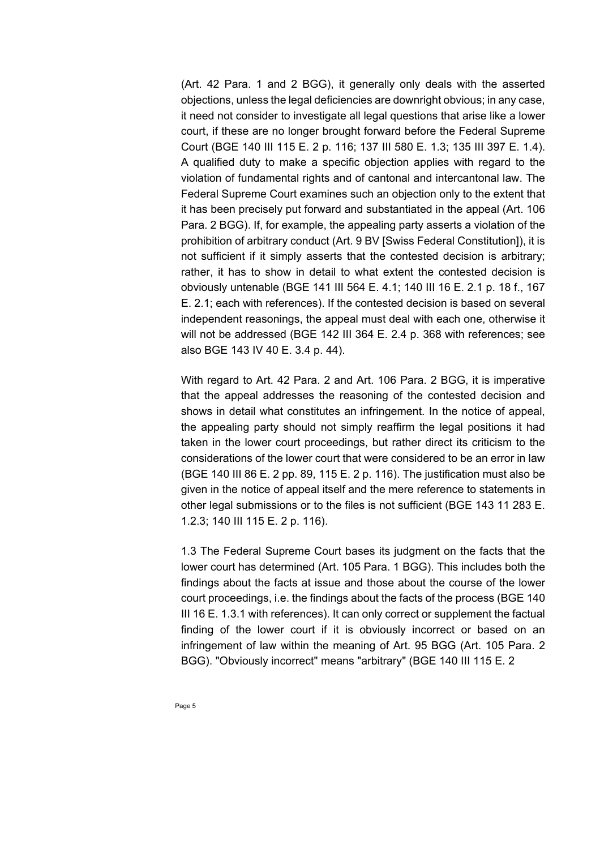(Art. 42 Para. 1 and 2 BGG), it generally only deals with the asserted objections, unless the legal deficiencies are downright obvious; in any case, it need not consider to investigate all legal questions that arise like a lower court, if these are no longer brought forward before the Federal Supreme Court (BGE 140 III 115 E. 2 p. 116; 137 III 580 E. 1.3; 135 III 397 E. 1.4). A qualified duty to make a specific objection applies with regard to the violation of fundamental rights and of cantonal and intercantonal law. The Federal Supreme Court examines such an objection only to the extent that it has been precisely put forward and substantiated in the appeal (Art. 106 Para. 2 BGG). If, for example, the appealing party asserts a violation of the prohibition of arbitrary conduct (Art. 9 BV [Swiss Federal Constitution]), it is not sufficient if it simply asserts that the contested decision is arbitrary; rather, it has to show in detail to what extent the contested decision is obviously untenable (BGE 141 III 564 E. 4.1; 140 III 16 E. 2.1 p. 18 f., 167 E. 2.1; each with references). If the contested decision is based on several independent reasonings, the appeal must deal with each one, otherwise it will not be addressed (BGE 142 III 364 E. 2.4 p. 368 with references; see also BGE 143 IV 40 E. 3.4 p. 44).

With regard to Art. 42 Para. 2 and Art. 106 Para. 2 BGG, it is imperative that the appeal addresses the reasoning of the contested decision and shows in detail what constitutes an infringement. In the notice of appeal, the appealing party should not simply reaffirm the legal positions it had taken in the lower court proceedings, but rather direct its criticism to the considerations of the lower court that were considered to be an error in law (BGE 140 III 86 E. 2 pp. 89, 115 E. 2 p. 116). The justification must also be given in the notice of appeal itself and the mere reference to statements in other legal submissions or to the files is not sufficient (BGE 143 11 283 E. 1.2.3; 140 III 115 E. 2 p. 116).

1.3 The Federal Supreme Court bases its judgment on the facts that the lower court has determined (Art. 105 Para. 1 BGG). This includes both the findings about the facts at issue and those about the course of the lower court proceedings, i.e. the findings about the facts of the process (BGE 140 III 16 E. 1.3.1 with references). It can only correct or supplement the factual finding of the lower court if it is obviously incorrect or based on an infringement of law within the meaning of Art. 95 BGG (Art. 105 Para. 2 BGG). "Obviously incorrect" means "arbitrary" (BGE 140 III 115 E. 2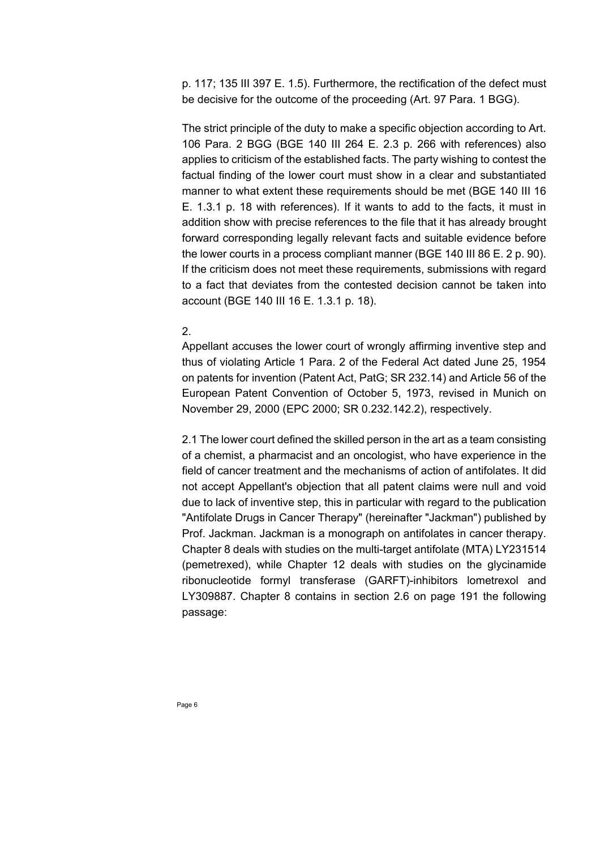p. 117; 135 III 397 E. 1.5). Furthermore, the rectification of the defect must be decisive for the outcome of the proceeding (Art. 97 Para. 1 BGG).

The strict principle of the duty to make a specific objection according to Art. 106 Para. 2 BGG (BGE 140 III 264 E. 2.3 p. 266 with references) also applies to criticism of the established facts. The party wishing to contest the factual finding of the lower court must show in a clear and substantiated manner to what extent these requirements should be met (BGE 140 III 16 E. 1.3.1 p. 18 with references). If it wants to add to the facts, it must in addition show with precise references to the file that it has already brought forward corresponding legally relevant facts and suitable evidence before the lower courts in a process compliant manner (BGE 140 III 86 E. 2 p. 90). If the criticism does not meet these requirements, submissions with regard to a fact that deviates from the contested decision cannot be taken into account (BGE 140 III 16 E. 1.3.1 p. 18).

## 2.

Appellant accuses the lower court of wrongly affirming inventive step and thus of violating Article 1 Para. 2 of the Federal Act dated June 25, 1954 on patents for invention (Patent Act, PatG; SR 232.14) and Article 56 of the European Patent Convention of October 5, 1973, revised in Munich on November 29, 2000 (EPC 2000; SR 0.232.142.2), respectively.

2.1 The lower court defined the skilled person in the art as a team consisting of a chemist, a pharmacist and an oncologist, who have experience in the field of cancer treatment and the mechanisms of action of antifolates. It did not accept Appellant's objection that all patent claims were null and void due to lack of inventive step, this in particular with regard to the publication "Antifolate Drugs in Cancer Therapy" (hereinafter "Jackman") published by Prof. Jackman. Jackman is a monograph on antifolates in cancer therapy. Chapter 8 deals with studies on the multi-target antifolate (MTA) LY231514 (pemetrexed), while Chapter 12 deals with studies on the glycinamide ribonucleotide formyl transferase (GARFT)-inhibitors lometrexol and LY309887. Chapter 8 contains in section 2.6 on page 191 the following passage: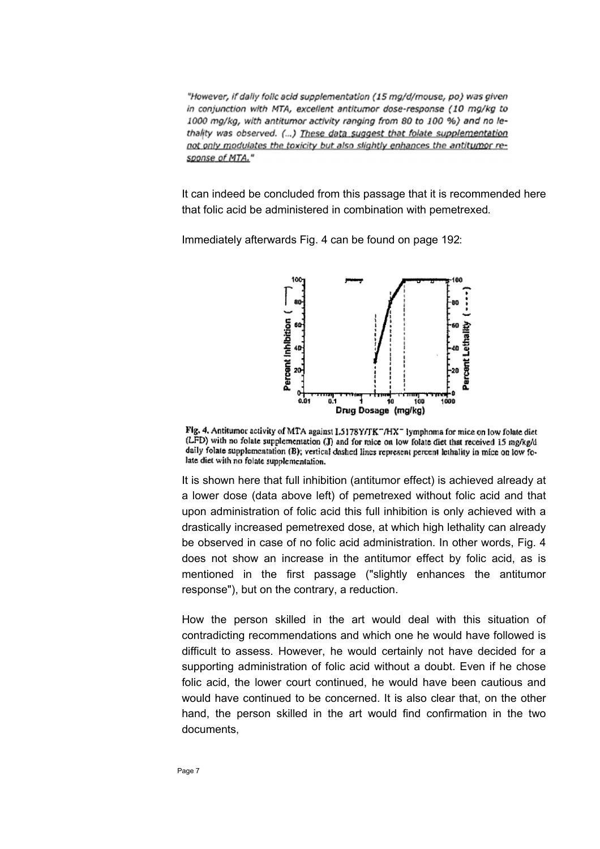"However, if dally folic acid supplementation (15 mg/d/mouse, po) was given in conjunction with MTA, excellent antitumor dose-response (10 mg/kg to 1000 mg/kg, with antitumor activity ranging from 80 to 100 %) and no lethality was observed. (...) These data suggest that folate supplementation not only modulates the toxicity but also slightly enhances the antitumor response of MTA."

It can indeed be concluded from this passage that it is recommended here that folic acid be administered in combination with pemetrexed.

Immediately afterwards Fig. 4 can be found on page 192:



Fig. 4. Antitumor activity of MTA against I.5178Y/TK "/HX" lymphoma for mice on low folate diet (LFD) with no folate supplementation (J) and for mice on low folate diet that received 15 mg/kg/d daily folate supplementation (B); vertical dashed lines represent percent lethality in mice on low folate diet with no folate supplementation.

It is shown here that full inhibition (antitumor effect) is achieved already at a lower dose (data above left) of pemetrexed without folic acid and that upon administration of folic acid this full inhibition is only achieved with a drastically increased pemetrexed dose, at which high lethality can already be observed in case of no folic acid administration. In other words, Fig. 4 does not show an increase in the antitumor effect by folic acid, as is mentioned in the first passage ("slightly enhances the antitumor response"), but on the contrary, a reduction.

How the person skilled in the art would deal with this situation of contradicting recommendations and which one he would have followed is difficult to assess. However, he would certainly not have decided for a supporting administration of folic acid without a doubt. Even if he chose folic acid, the lower court continued, he would have been cautious and would have continued to be concerned. It is also clear that, on the other hand, the person skilled in the art would find confirmation in the two documents,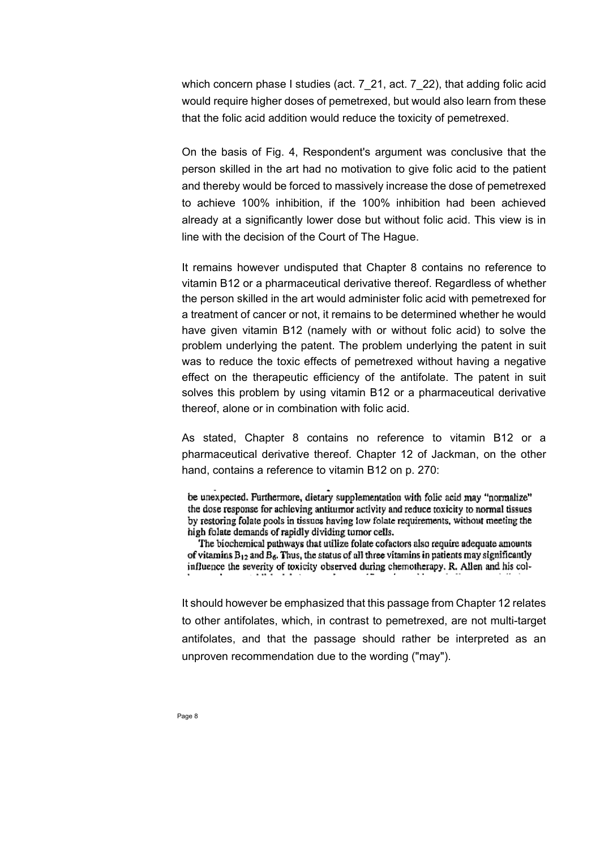which concern phase I studies (act. 7\_21, act. 7\_22), that adding folic acid would require higher doses of pemetrexed, but would also learn from these that the folic acid addition would reduce the toxicity of pemetrexed.

On the basis of Fig. 4, Respondent's argument was conclusive that the person skilled in the art had no motivation to give folic acid to the patient and thereby would be forced to massively increase the dose of pemetrexed to achieve 100% inhibition, if the 100% inhibition had been achieved already at a significantly lower dose but without folic acid. This view is in line with the decision of the Court of The Hague.

It remains however undisputed that Chapter 8 contains no reference to vitamin B12 or a pharmaceutical derivative thereof. Regardless of whether the person skilled in the art would administer folic acid with pemetrexed for a treatment of cancer or not, it remains to be determined whether he would have given vitamin B12 (namely with or without folic acid) to solve the problem underlying the patent. The problem underlying the patent in suit was to reduce the toxic effects of pemetrexed without having a negative effect on the therapeutic efficiency of the antifolate. The patent in suit solves this problem by using vitamin B12 or a pharmaceutical derivative thereof, alone or in combination with folic acid.

As stated, Chapter 8 contains no reference to vitamin B12 or a pharmaceutical derivative thereof. Chapter 12 of Jackman, on the other hand, contains a reference to vitamin B12 on p. 270:

be unexpected. Furthermore, dietary supplementation with folic acid may "normalize" the dose response for achieving antitumor activity and reduce toxicity to normal tissues by restoring folate pools in tissues having low folate requirements, without meeting the high folate demands of rapidly dividing turnor cells.

The biochemical pathways that utilize folate cofactors also require adequate amounts of vitamins  $B_{12}$  and  $B_6$ . Thus, the status of all three vitamins in patients may significantly influence the severity of toxicity observed during chemotherapy. R. Allen and his col-

It should however be emphasized that this passage from Chapter 12 relates to other antifolates, which, in contrast to pemetrexed, are not multi-target antifolates, and that the passage should rather be interpreted as an unproven recommendation due to the wording ("may").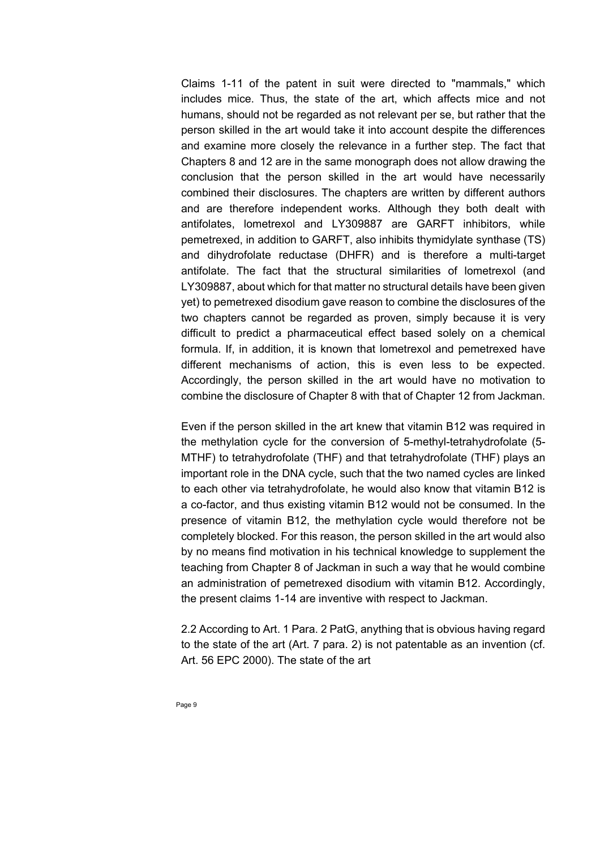Claims 1-11 of the patent in suit were directed to "mammals," which includes mice. Thus, the state of the art, which affects mice and not humans, should not be regarded as not relevant per se, but rather that the person skilled in the art would take it into account despite the differences and examine more closely the relevance in a further step. The fact that Chapters 8 and 12 are in the same monograph does not allow drawing the conclusion that the person skilled in the art would have necessarily combined their disclosures. The chapters are written by different authors and are therefore independent works. Although they both dealt with antifolates, lometrexol and LY309887 are GARFT inhibitors, while pemetrexed, in addition to GARFT, also inhibits thymidylate synthase (TS) and dihydrofolate reductase (DHFR) and is therefore a multi-target antifolate. The fact that the structural similarities of lometrexol (and LY309887, about which for that matter no structural details have been given yet) to pemetrexed disodium gave reason to combine the disclosures of the two chapters cannot be regarded as proven, simply because it is very difficult to predict a pharmaceutical effect based solely on a chemical formula. If, in addition, it is known that lometrexol and pemetrexed have different mechanisms of action, this is even less to be expected. Accordingly, the person skilled in the art would have no motivation to combine the disclosure of Chapter 8 with that of Chapter 12 from Jackman.

Even if the person skilled in the art knew that vitamin B12 was required in the methylation cycle for the conversion of 5-methyl-tetrahydrofolate (5- MTHF) to tetrahydrofolate (THF) and that tetrahydrofolate (THF) plays an important role in the DNA cycle, such that the two named cycles are linked to each other via tetrahydrofolate, he would also know that vitamin B12 is a co-factor, and thus existing vitamin B12 would not be consumed. In the presence of vitamin B12, the methylation cycle would therefore not be completely blocked. For this reason, the person skilled in the art would also by no means find motivation in his technical knowledge to supplement the teaching from Chapter 8 of Jackman in such a way that he would combine an administration of pemetrexed disodium with vitamin B12. Accordingly, the present claims 1-14 are inventive with respect to Jackman.

2.2 According to Art. 1 Para. 2 PatG, anything that is obvious having regard to the state of the art (Art. 7 para. 2) is not patentable as an invention (cf. Art. 56 EPC 2000). The state of the art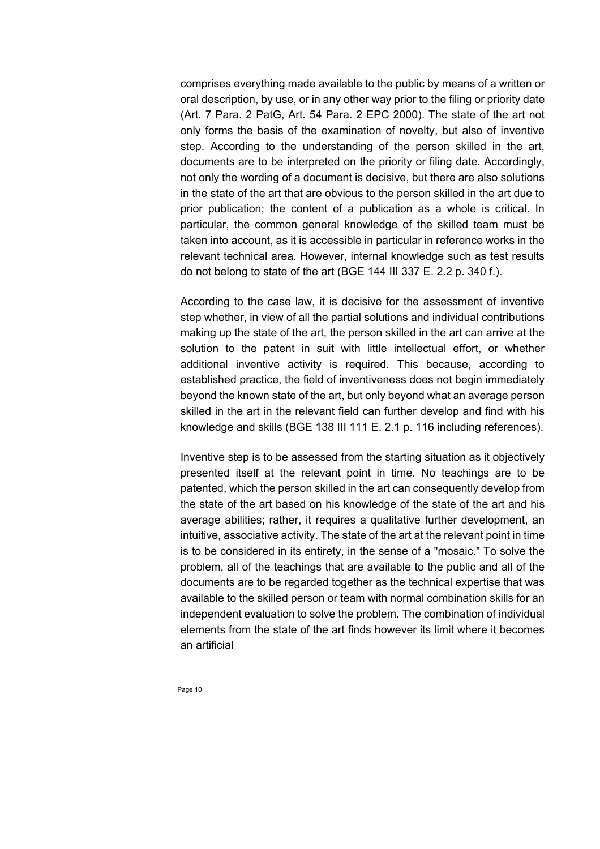comprises everything made available to the public by means of a written or oral description, by use, or in any other way prior to the filing or priority date (Art. 7 Para. 2 PatG, Art. 54 Para. 2 EPC 2000). The state of the art not only forms the basis of the examination of novelty, but also of inventive step. According to the understanding of the person skilled in the art, documents are to be interpreted on the priority or filing date. Accordingly, not only the wording of a document is decisive, but there are also solutions in the state of the art that are obvious to the person skilled in the art due to prior publication; the content of a publication as a whole is critical. In particular, the common general knowledge of the skilled team must be taken into account, as it is accessible in particular in reference works in the relevant technical area. However, internal knowledge such as test results do not belong to state of the art (BGE 144 III 337 E. 2.2 p. 340 f.).

According to the case law, it is decisive for the assessment of inventive step whether, in view of all the partial solutions and individual contributions making up the state of the art, the person skilled in the art can arrive at the solution to the patent in suit with little intellectual effort, or whether additional inventive activity is required. This because, according to established practice, the field of inventiveness does not begin immediately beyond the known state of the art, but only beyond what an average person skilled in the art in the relevant field can further develop and find with his knowledge and skills (BGE 138 III 111 E. 2.1 p. 116 including references).

Inventive step is to be assessed from the starting situation as it objectively presented itself at the relevant point in time. No teachings are to be patented, which the person skilled in the art can consequently develop from the state of the art based on his knowledge of the state of the art and his average abilities; rather, it requires a qualitative further development, an intuitive, associative activity. The state of the art at the relevant point in time is to be considered in its entirety, in the sense of a "mosaic." To solve the problem, all of the teachings that are available to the public and all of the documents are to be regarded together as the technical expertise that was available to the skilled person or team with normal combination skills for an independent evaluation to solve the problem. The combination of individual elements from the state of the art finds however its limit where it becomes an artificial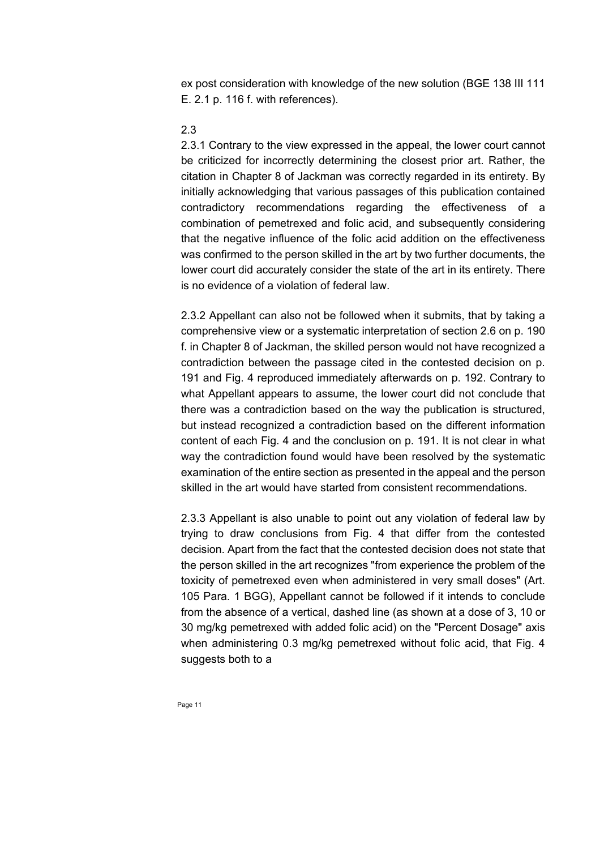ex post consideration with knowledge of the new solution (BGE 138 III 111 E. 2.1 p. 116 f. with references).

# 2.3

2.3.1 Contrary to the view expressed in the appeal, the lower court cannot be criticized for incorrectly determining the closest prior art. Rather, the citation in Chapter 8 of Jackman was correctly regarded in its entirety. By initially acknowledging that various passages of this publication contained contradictory recommendations regarding the effectiveness of a combination of pemetrexed and folic acid, and subsequently considering that the negative influence of the folic acid addition on the effectiveness was confirmed to the person skilled in the art by two further documents, the lower court did accurately consider the state of the art in its entirety. There is no evidence of a violation of federal law.

2.3.2 Appellant can also not be followed when it submits, that by taking a comprehensive view or a systematic interpretation of section 2.6 on p. 190 f. in Chapter 8 of Jackman, the skilled person would not have recognized a contradiction between the passage cited in the contested decision on p. 191 and Fig. 4 reproduced immediately afterwards on p. 192. Contrary to what Appellant appears to assume, the lower court did not conclude that there was a contradiction based on the way the publication is structured, but instead recognized a contradiction based on the different information content of each Fig. 4 and the conclusion on p. 191. It is not clear in what way the contradiction found would have been resolved by the systematic examination of the entire section as presented in the appeal and the person skilled in the art would have started from consistent recommendations.

2.3.3 Appellant is also unable to point out any violation of federal law by trying to draw conclusions from Fig. 4 that differ from the contested decision. Apart from the fact that the contested decision does not state that the person skilled in the art recognizes "from experience the problem of the toxicity of pemetrexed even when administered in very small doses" (Art. 105 Para. 1 BGG), Appellant cannot be followed if it intends to conclude from the absence of a vertical, dashed line (as shown at a dose of 3, 10 or 30 mg/kg pemetrexed with added folic acid) on the "Percent Dosage" axis when administering 0.3 mg/kg pemetrexed without folic acid, that Fig. 4 suggests both to a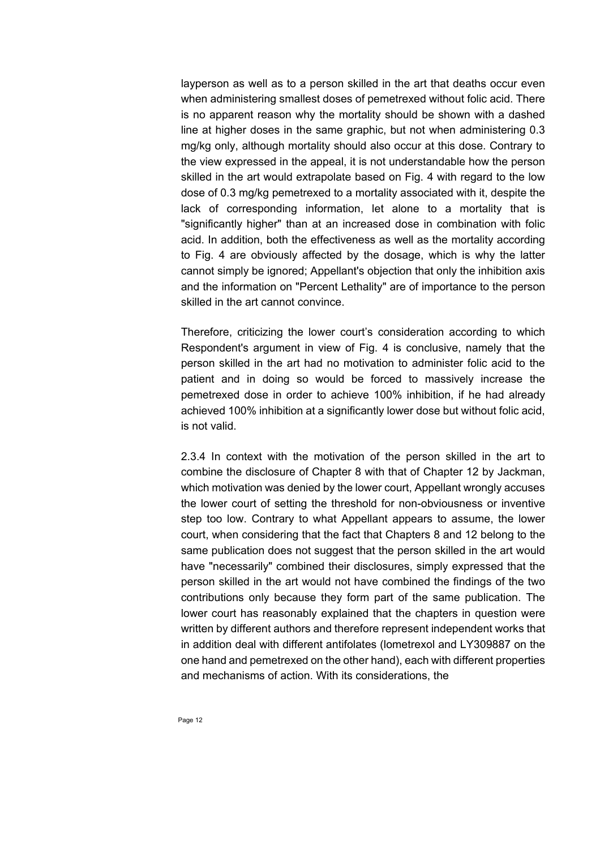layperson as well as to a person skilled in the art that deaths occur even when administering smallest doses of pemetrexed without folic acid. There is no apparent reason why the mortality should be shown with a dashed line at higher doses in the same graphic, but not when administering 0.3 mg/kg only, although mortality should also occur at this dose. Contrary to the view expressed in the appeal, it is not understandable how the person skilled in the art would extrapolate based on Fig. 4 with regard to the low dose of 0.3 mg/kg pemetrexed to a mortality associated with it, despite the lack of corresponding information, let alone to a mortality that is "significantly higher" than at an increased dose in combination with folic acid. In addition, both the effectiveness as well as the mortality according to Fig. 4 are obviously affected by the dosage, which is why the latter cannot simply be ignored; Appellant's objection that only the inhibition axis and the information on "Percent Lethality" are of importance to the person skilled in the art cannot convince.

Therefore, criticizing the lower court's consideration according to which Respondent's argument in view of Fig. 4 is conclusive, namely that the person skilled in the art had no motivation to administer folic acid to the patient and in doing so would be forced to massively increase the pemetrexed dose in order to achieve 100% inhibition, if he had already achieved 100% inhibition at a significantly lower dose but without folic acid, is not valid.

2.3.4 In context with the motivation of the person skilled in the art to combine the disclosure of Chapter 8 with that of Chapter 12 by Jackman, which motivation was denied by the lower court, Appellant wrongly accuses the lower court of setting the threshold for non-obviousness or inventive step too low. Contrary to what Appellant appears to assume, the lower court, when considering that the fact that Chapters 8 and 12 belong to the same publication does not suggest that the person skilled in the art would have "necessarily" combined their disclosures, simply expressed that the person skilled in the art would not have combined the findings of the two contributions only because they form part of the same publication. The lower court has reasonably explained that the chapters in question were written by different authors and therefore represent independent works that in addition deal with different antifolates (lometrexol and LY309887 on the one hand and pemetrexed on the other hand), each with different properties and mechanisms of action. With its considerations, the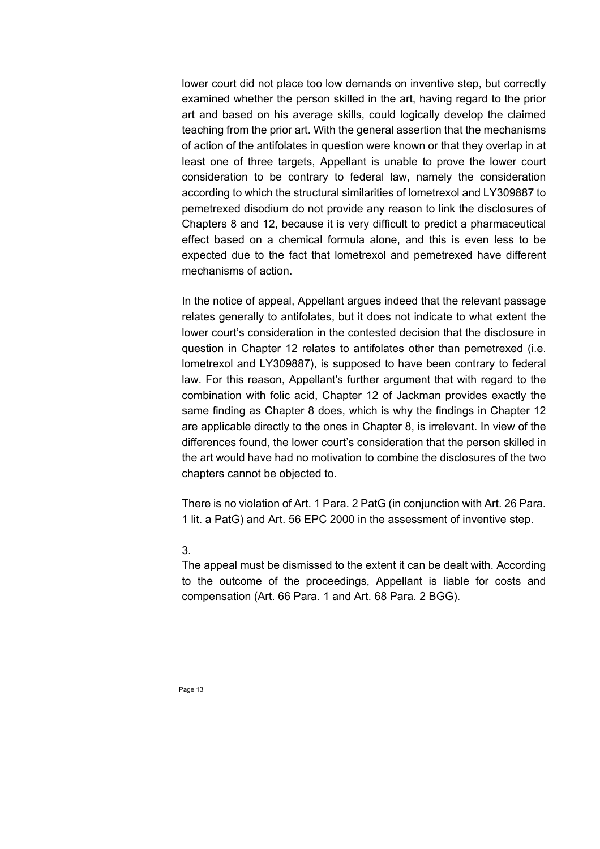lower court did not place too low demands on inventive step, but correctly examined whether the person skilled in the art, having regard to the prior art and based on his average skills, could logically develop the claimed teaching from the prior art. With the general assertion that the mechanisms of action of the antifolates in question were known or that they overlap in at least one of three targets, Appellant is unable to prove the lower court consideration to be contrary to federal law, namely the consideration according to which the structural similarities of lometrexol and LY309887 to pemetrexed disodium do not provide any reason to link the disclosures of Chapters 8 and 12, because it is very difficult to predict a pharmaceutical effect based on a chemical formula alone, and this is even less to be expected due to the fact that lometrexol and pemetrexed have different mechanisms of action.

In the notice of appeal, Appellant argues indeed that the relevant passage relates generally to antifolates, but it does not indicate to what extent the lower court's consideration in the contested decision that the disclosure in question in Chapter 12 relates to antifolates other than pemetrexed (i.e. lometrexol and LY309887), is supposed to have been contrary to federal law. For this reason, Appellant's further argument that with regard to the combination with folic acid, Chapter 12 of Jackman provides exactly the same finding as Chapter 8 does, which is why the findings in Chapter 12 are applicable directly to the ones in Chapter 8, is irrelevant. In view of the differences found, the lower court's consideration that the person skilled in the art would have had no motivation to combine the disclosures of the two chapters cannot be objected to.

There is no violation of Art. 1 Para. 2 PatG (in conjunction with Art. 26 Para. 1 lit. a PatG) and Art. 56 EPC 2000 in the assessment of inventive step.

## 3.

The appeal must be dismissed to the extent it can be dealt with. According to the outcome of the proceedings, Appellant is liable for costs and compensation (Art. 66 Para. 1 and Art. 68 Para. 2 BGG).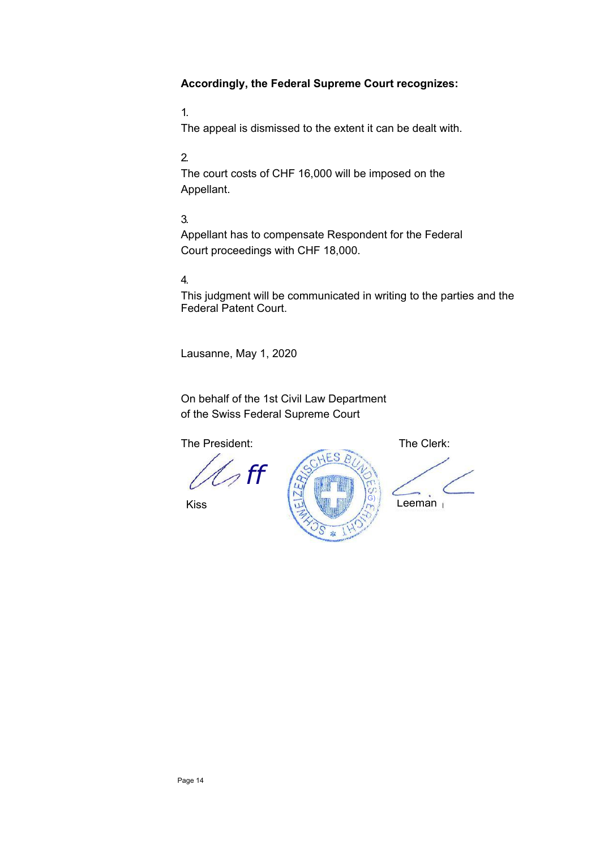# **Accordingly, the Federal Supreme Court recognizes:**

1.

The appeal is dismissed to the extent it can be dealt with.

## 2.

The court costs of CHF 16,000 will be imposed on the Appellant.

# 3.

Appellant has to compensate Respondent for the Federal Court proceedings with CHF 18,000.

# 4.

This judgment will be communicated in writing to the parties and the Federal Patent Court.

Lausanne, May 1, 2020

On behalf of the 1st Civil Law Department of the Swiss Federal Supreme Court

The President: The Clerk:

 $\mathscr{D}$  ff

Kiss



Leeman